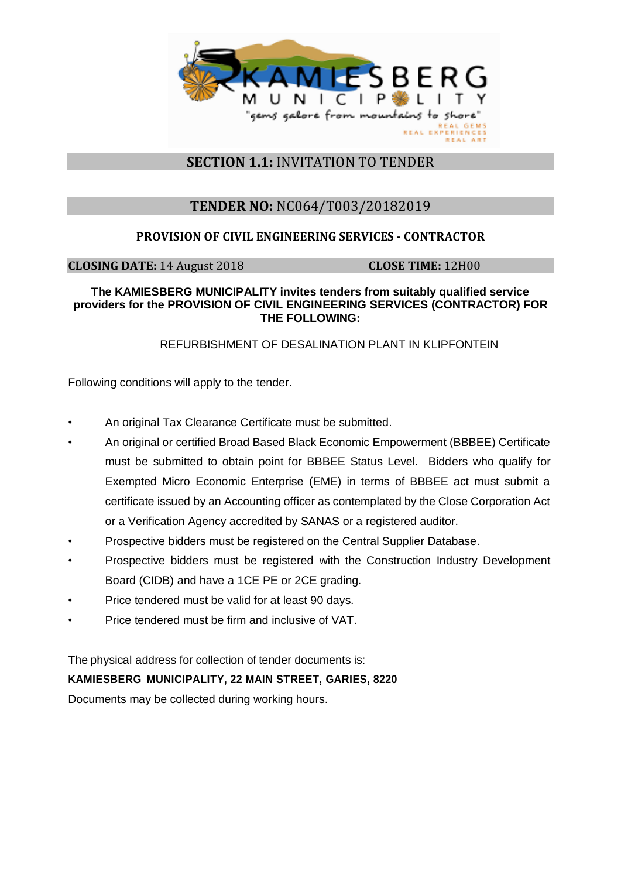

## **SECTION 1.1:** INVITATION TO TENDER

# **TENDER NO:** NC064/T003/20182019

## **PROVISION OF CIVIL ENGINEERING SERVICES - CONTRACTOR**

**CLOSING DATE:** 14 August 2018 **CLOSE TIME:** 12H00

#### **The KAMIESBERG MUNICIPALITY invites tenders from suitably qualified service providers for the PROVISION OF CIVIL ENGINEERING SERVICES (CONTRACTOR) FOR THE FOLLOWING:**

### REFURBISHMENT OF DESALINATION PLANT IN KLIPFONTEIN

Following conditions will apply to the tender.

- An original Tax Clearance Certificate must be submitted.
- An original or certified Broad Based Black Economic Empowerment (BBBEE) Certificate must be submitted to obtain point for BBBEE Status Level. Bidders who qualify for Exempted Micro Economic Enterprise (EME) in terms of BBBEE act must submit a certificate issued by an Accounting officer as contemplated by the Close Corporation Act or a Verification Agency accredited by SANAS or a registered auditor.
- Prospective bidders must be registered on the Central Supplier Database.
- Prospective bidders must be registered with the Construction Industry Development Board (CIDB) and have a 1CE PE or 2CE grading.
- Price tendered must be valid for at least 90 days.
- Price tendered must be firm and inclusive of VAT.

The physical address for collection of tender documents is:

### **KAMIESBERG MUNICIPALITY, 22 MAIN STREET, GARIES, 8220**

Documents may be collected during working hours.